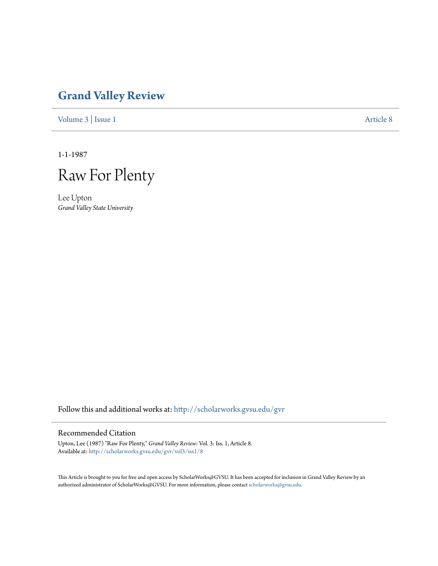## **[Grand Valley Review](http://scholarworks.gvsu.edu/gvr?utm_source=scholarworks.gvsu.edu%2Fgvr%2Fvol3%2Fiss1%2F8&utm_medium=PDF&utm_campaign=PDFCoverPages)**

[Volume 3](http://scholarworks.gvsu.edu/gvr/vol3?utm_source=scholarworks.gvsu.edu%2Fgvr%2Fvol3%2Fiss1%2F8&utm_medium=PDF&utm_campaign=PDFCoverPages) | [Issue 1](http://scholarworks.gvsu.edu/gvr/vol3/iss1?utm_source=scholarworks.gvsu.edu%2Fgvr%2Fvol3%2Fiss1%2F8&utm_medium=PDF&utm_campaign=PDFCoverPages) [Article 8](http://scholarworks.gvsu.edu/gvr/vol3/iss1/8?utm_source=scholarworks.gvsu.edu%2Fgvr%2Fvol3%2Fiss1%2F8&utm_medium=PDF&utm_campaign=PDFCoverPages)

1-1-1987

Raw For Plenty

Lee Upton *Grand Valley State University*

Follow this and additional works at: [http://scholarworks.gvsu.edu/gvr](http://scholarworks.gvsu.edu/gvr?utm_source=scholarworks.gvsu.edu%2Fgvr%2Fvol3%2Fiss1%2F8&utm_medium=PDF&utm_campaign=PDFCoverPages)

## Recommended Citation

Upton, Lee (1987) "Raw For Plenty," *Grand Valley Review*: Vol. 3: Iss. 1, Article 8. Available at: [http://scholarworks.gvsu.edu/gvr/vol3/iss1/8](http://scholarworks.gvsu.edu/gvr/vol3/iss1/8?utm_source=scholarworks.gvsu.edu%2Fgvr%2Fvol3%2Fiss1%2F8&utm_medium=PDF&utm_campaign=PDFCoverPages)

This Article is brought to you for free and open access by ScholarWorks@GVSU. It has been accepted for inclusion in Grand Valley Review by an authorized administrator of ScholarWorks@GVSU. For more information, please contact [scholarworks@gvsu.edu.](mailto:scholarworks@gvsu.edu)